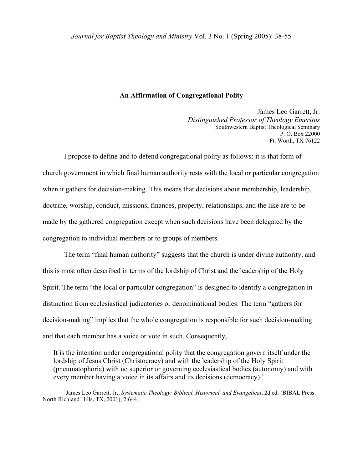### **An Affirmation of Congregational Polity**

James Leo Garrett, Jr. *Distinguished Professor of Theology Emeritus*  Southwestern Baptist Theological Seminary P. O. Box 22000 Ft. Worth, TX 76122

I propose to define and to defend congregational polity as follows: it is that form of church government in which final human authority rests with the local or particular congregation when it gathers for decision-making. This means that decisions about membership, leadership, doctrine, worship, conduct, missions, finances, property, relationships, and the like are to be made by the gathered congregation except when such decisions have been delegated by the congregation to individual members or to groups of members.

The term "final human authority" suggests that the church is under divine authority, and this is most often described in terms of the lordship of Christ and the leadership of the Holy Spirit. The term "the local or particular congregation" is designed to identify a congregation in distinction from ecclesiastical judicatories or denominational bodies. The term "gathers for decision-making" implies that the whole congregation is responsible for such decision-making and that each member has a voice or vote in such. Consequently,

It is the intention under congregational polity that the congregation govern itself under the lordship of Jesus Christ (Christocracy) and with the leadership of the Holy Spirit (pneumatophoria) with no superior or governing ecclesiastical bodies (autonomy) and with every member having a voice in its affairs and its decisions (democracy).<sup>[1](#page-0-0)</sup>

<span id="page-0-0"></span> $\begin{array}{c|c}\n\hline\n\end{array}$ <sup>1</sup>James Leo Garrett, Jr., *Systematic Theology: Biblical, Historical, and Evangelical*, 2d ed. (BIBAL Press: North Richland Hills, TX, 2001), 2:644.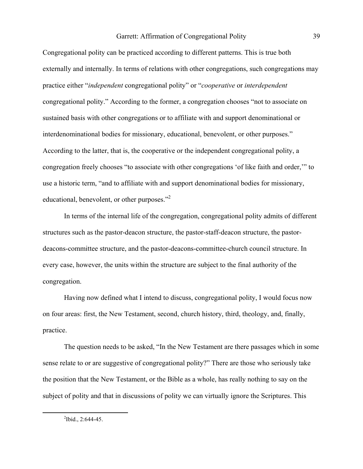Congregational polity can be practiced according to different patterns. This is true both externally and internally. In terms of relations with other congregations, such congregations may practice either "*independent* congregational polity" or "*cooperative* or *interdependent* congregational polity." According to the former, a congregation chooses "not to associate on sustained basis with other congregations or to affiliate with and support denominational or interdenominational bodies for missionary, educational, benevolent, or other purposes." According to the latter, that is, the cooperative or the independent congregational polity, a congregation freely chooses "to associate with other congregations 'of like faith and order,'" to use a historic term, "and to affiliate with and support denominational bodies for missionary, educational, benevolent, or other purposes."<sup>[2](#page-1-0)</sup>

 In terms of the internal life of the congregation, congregational polity admits of different structures such as the pastor-deacon structure, the pastor-staff-deacon structure, the pastordeacons-committee structure, and the pastor-deacons-committee-church council structure. In every case, however, the units within the structure are subject to the final authority of the congregation.

Having now defined what I intend to discuss, congregational polity, I would focus now on four areas: first, the New Testament, second, church history, third, theology, and, finally, practice.

 The question needs to be asked, "In the New Testament are there passages which in some sense relate to or are suggestive of congregational polity?" There are those who seriously take the position that the New Testament, or the Bible as a whole, has really nothing to say on the subject of polity and that in discussions of polity we can virtually ignore the Scriptures. This

<span id="page-1-0"></span> $\overline{\phantom{a}}$  $^{2}$ Ibid., 2:644-45.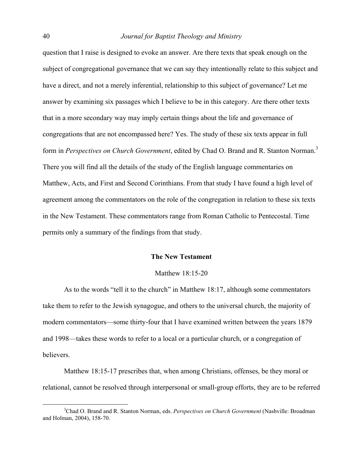question that I raise is designed to evoke an answer. Are there texts that speak enough on the subject of congregational governance that we can say they intentionally relate to this subject and have a direct, and not a merely inferential, relationship to this subject of governance? Let me answer by examining six passages which I believe to be in this category. Are there other texts that in a more secondary way may imply certain things about the life and governance of congregations that are not encompassed here? Yes. The study of these six texts appear in full form in *Perspectives on Church Government*, edited by Chad O. Brand and R. Stanton Norman.<sup>[3](#page-2-0)</sup> There you will find all the details of the study of the English language commentaries on Matthew, Acts, and First and Second Corinthians. From that study I have found a high level of agreement among the commentators on the role of the congregation in relation to these six texts in the New Testament. These commentators range from Roman Catholic to Pentecostal. Time permits only a summary of the findings from that study.

### **The New Testament**

#### Matthew 18:15-20

 As to the words "tell it to the church" in Matthew 18:17, although some commentators take them to refer to the Jewish synagogue, and others to the universal church, the majority of modern commentators—some thirty-four that I have examined written between the years 1879 and 1998—takes these words to refer to a local or a particular church, or a congregation of believers.

 Matthew 18:15-17 prescribes that, when among Christians, offenses, be they moral or relational, cannot be resolved through interpersonal or small-group efforts, they are to be referred

<span id="page-2-0"></span> $\frac{1}{3}$ Chad O. Brand and R. Stanton Norman, eds. *Perspectives on Church Government* (Nashville: Broadman and Holman, 2004), 158-70.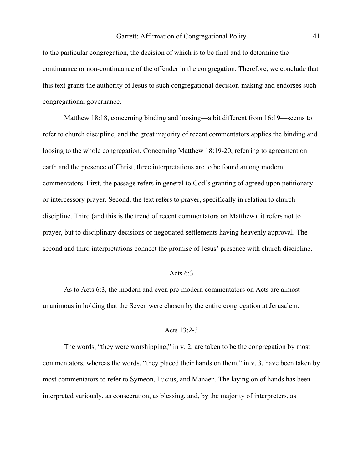to the particular congregation, the decision of which is to be final and to determine the continuance or non-continuance of the offender in the congregation. Therefore, we conclude that this text grants the authority of Jesus to such congregational decision-making and endorses such congregational governance.

 Matthew 18:18, concerning binding and loosing—a bit different from 16:19—seems to refer to church discipline, and the great majority of recent commentators applies the binding and loosing to the whole congregation. Concerning Matthew 18:19-20, referring to agreement on earth and the presence of Christ, three interpretations are to be found among modern commentators. First, the passage refers in general to God's granting of agreed upon petitionary or intercessory prayer. Second, the text refers to prayer, specifically in relation to church discipline. Third (and this is the trend of recent commentators on Matthew), it refers not to prayer, but to disciplinary decisions or negotiated settlements having heavenly approval. The second and third interpretations connect the promise of Jesus' presence with church discipline.

#### Acts 6:3

As to Acts 6:3, the modern and even pre-modern commentators on Acts are almost unanimous in holding that the Seven were chosen by the entire congregation at Jerusalem.

# Acts 13:2-3

The words, "they were worshipping," in v. 2, are taken to be the congregation by most commentators, whereas the words, "they placed their hands on them," in v. 3, have been taken by most commentators to refer to Symeon, Lucius, and Manaen. The laying on of hands has been interpreted variously, as consecration, as blessing, and, by the majority of interpreters, as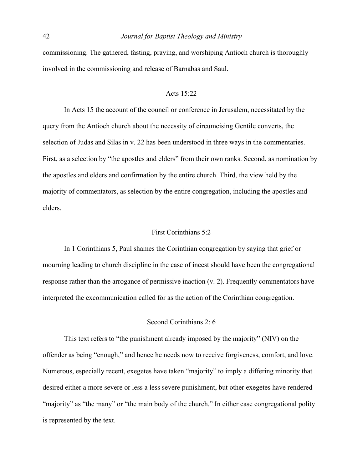commissioning. The gathered, fasting, praying, and worshiping Antioch church is thoroughly involved in the commissioning and release of Barnabas and Saul.

### Acts 15:22

In Acts 15 the account of the council or conference in Jerusalem, necessitated by the query from the Antioch church about the necessity of circumcising Gentile converts, the selection of Judas and Silas in v. 22 has been understood in three ways in the commentaries. First, as a selection by "the apostles and elders" from their own ranks. Second, as nomination by the apostles and elders and confirmation by the entire church. Third, the view held by the majority of commentators, as selection by the entire congregation, including the apostles and elders.

### First Corinthians 5:2

 In 1 Corinthians 5, Paul shames the Corinthian congregation by saying that grief or mourning leading to church discipline in the case of incest should have been the congregational response rather than the arrogance of permissive inaction (v. 2). Frequently commentators have interpreted the excommunication called for as the action of the Corinthian congregation.

# Second Corinthians 2: 6

 This text refers to "the punishment already imposed by the majority" (NIV) on the offender as being "enough," and hence he needs now to receive forgiveness, comfort, and love. Numerous, especially recent, exegetes have taken "majority" to imply a differing minority that desired either a more severe or less a less severe punishment, but other exegetes have rendered "majority" as "the many" or "the main body of the church." In either case congregational polity is represented by the text.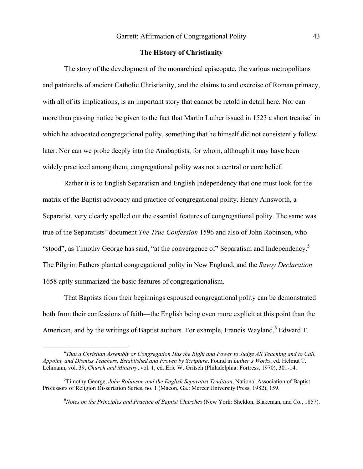## **The History of Christianity**

The story of the development of the monarchical episcopate, the various metropolitans and patriarchs of ancient Catholic Christianity, and the claims to and exercise of Roman primacy, with all of its implications, is an important story that cannot be retold in detail here. Nor can more than passing notice be given to the fact that Martin Luther issued in 1523 a short treatise<sup>[4](#page-5-0)</sup> in which he advocated congregational polity, something that he himself did not consistently follow later. Nor can we probe deeply into the Anabaptists, for whom, although it may have been widely practiced among them, congregational polity was not a central or core belief.

Rather it is to English Separatism and English Independency that one must look for the matrix of the Baptist advocacy and practice of congregational polity. Henry Ainsworth, a Separatist, very clearly spelled out the essential features of congregational polity. The same was true of the Separatists' document *The True Confession* 1596 and also of John Robinson, who "stood", as Timothy George has said, "at the convergence of" Separatism and Independency.<sup>5</sup> The Pilgrim Fathers planted congregational polity in New England, and the *Savoy Declaration*  1658 aptly summarized the basic features of congregationalism.

That Baptists from their beginnings espoused congregational polity can be demonstrated both from their confessions of faith—the English being even more explicit at this point than the American, and by the writings of Baptist authors. For example, Francis Wayland,  $6$  Edward T.

<span id="page-5-2"></span><span id="page-5-1"></span>6 *Notes on the Principles and Practice of Baptist Churches* (New York: Sheldon, Blakeman, and Co., 1857).

<span id="page-5-0"></span> $\frac{1}{4}$ *That a Christian Assembly or Congregation Has the Right and Power to Judge All Teaching and to Call, Appoint, and Dismiss Teachers, Established and Proven by Scripture*. Found in *Luther's Works*, ed. Helmut T. Lehmann, vol. 39, *Church and Ministry*, vol. 1, ed. Eric W. Gritsch (Philadelphia: Fortress, 1970), 301-14.

<sup>5</sup> Timothy George, *John Robinson and the English Separatist Tradition*, National Association of Baptist Professors of Religion Dissertation Series, no. 1 (Macon, Ga.: Mercer University Press, 1982), 159.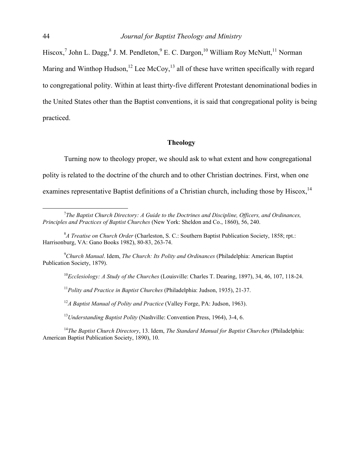Hiscox,<sup>[7](#page-6-0)</sup>John L. Dagg, <sup>8</sup> J. M. Pendleton,  $9$  [E](#page-6-2). C. Dargon,  $10$  William Roy McNutt,  $11$  Norman Maring and Winthop Hudson,<sup>12</sup> Lee McCoy,<sup>13</sup> all of these have written specifically with regard to congregational polity. Within at least thirty-five different Protestant denominational bodies in the United States other than the Baptist conventions, it is said that congregational polity is being practiced.

### **Theology**

Turning now to theology proper, we should ask to what extent and how congregational polity is related to the doctrine of the church and to other Christian doctrines. First, when one examines representative Baptist definitions of a Christian church, including those by Hiscox,<sup>14</sup>

<span id="page-6-3"></span><span id="page-6-2"></span><sup>10</sup>*Ecclesiology: A Study of the Churches* (Louisville: Charles T. Dearing, 1897), 34, 46, 107, 118-24.

<span id="page-6-4"></span><sup>11</sup>*Polity and Practice in Baptist Churches* (Philadelphia: Judson, 1935), 21-37.

<span id="page-6-5"></span><sup>12</sup>*A Baptist Manual of Polity and Practice* (Valley Forge, PA: Judson, 1963).

<span id="page-6-7"></span><span id="page-6-6"></span><sup>13</sup>*Understanding Baptist Polity* (Nashville: Convention Press, 1964), 3-4, 6.

<sup>14</sup>*The Baptist Church Directory*, 13. Idem, *The Standard Manual for Baptist Churches* (Philadelphia: American Baptist Publication Society, 1890), 10.

<span id="page-6-0"></span> $\overline{\phantom{a}}$ *The Baptist Church Directory: A Guide to the Doctrines and Discipline, Officers, and Ordinances, Principles and Practices of Baptist Churches* (New York: Sheldon and Co., 1860), 56, 240.

<span id="page-6-1"></span><sup>8</sup> *A Treatise on Church Order* (Charleston, S. C.: Southern Baptist Publication Society, 1858; rpt.: Harrisonburg, VA: Gano Books 1982), 80-83, 263-74.

<sup>9</sup> *Church Manual*. Idem, *The Church: Its Polity and Ordinances* (Philadelphia: American Baptist Publication Society, 1879).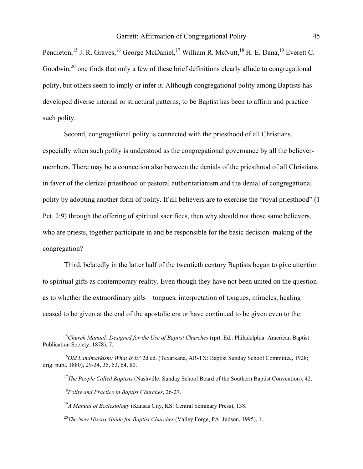Pendleton,<sup>15</sup> J. R. Graves,<sup>16</sup> George McDaniel,<sup>17</sup> William R. McNutt,<sup>18</sup> H. E. Dana,<sup>19</sup> Everett C. Goodwin, $^{20}$  one finds that only a few of these brief definitions clearly allude to congregational polity, but others seem to imply or infer it. Although congregational polity among Baptists has developed diverse internal or structural patterns, to be Baptist has been to affirm and practice such polity.

Second, congregational polity is connected with the priesthood of all Christians, especially when such polity is understood as the congregational governance by all the believermembers. There may be a connection also between the denials of the priesthood of all Christians in favor of the clerical priesthood or pastoral authoritarianism and the denial of congregational polity by adopting another form of polity. If all believers are to exercise the "royal priesthood" (1 Pet. 2:9) through the offering of spiritual sacrifices, then why should not those same believers, who are priests, together participate in and be responsible for the basic decision–making of the congregation?

Third, belatedly in the latter half of the twentieth century Baptists began to give attention to spiritual gifts as contemporary reality. Even though they have not been united on the question as to whether the extraordinary gifts—tongues, interpretation of tongues, miracles, healing ceased to be given at the end of the apostolic era or have continued to be given even to the

<span id="page-7-0"></span> <sup>15</sup>*Church Manual: Designed for the Use of Baptist Churches* (rprt. Ed.: Philadelphia: American Baptist Publication Society, 1878), 7.

<sup>&</sup>lt;sup>16</sup>Old Landmarkism: What Is It? 2d ed. (Texarkana, AR-TX: Baptist Sunday School Committee, 1928; orig. publ. 1880), 29-34, 35, 53, 64, 80.

<span id="page-7-2"></span><span id="page-7-1"></span><sup>&</sup>lt;sup>17</sup>*The People Called Baptists* (Nashville: Sunday School Board of the Southern Baptist Convention), 42.

<span id="page-7-3"></span><sup>18</sup>*Polity and Practice in Baptist Churches*, 26-27.

<span id="page-7-4"></span><sup>19</sup>*A Manual of Ecclesiology* (Kansas City, KS: Central Seminary Press), 138.

<span id="page-7-5"></span><sup>20</sup>*The New Hiscox Guide for Baptist Churches* (Valley Forge, PA: Judson, 1995), 1.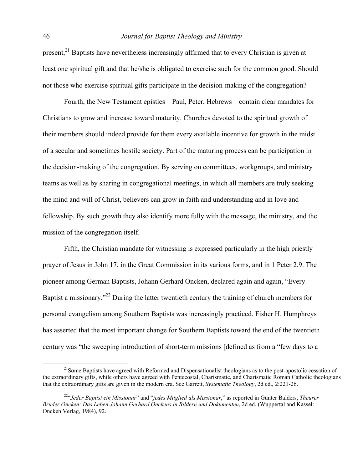present,<sup>21</sup> Baptists have nevertheless increasingly affirmed that to every Christian is given at least one spiritual gift and that he/she is obligated to exercise such for the common good. Should not those who exercise spiritual gifts participate in the decision-making of the congregation?

Fourth, the New Testament epistles—Paul, Peter, Hebrews—contain clear mandates for Christians to grow and increase toward maturity. Churches devoted to the spiritual growth of their members should indeed provide for them every available incentive for growth in the midst of a secular and sometimes hostile society. Part of the maturing process can be participation in the decision-making of the congregation. By serving on committees, workgroups, and ministry teams as well as by sharing in congregational meetings, in which all members are truly seeking the mind and will of Christ, believers can grow in faith and understanding and in love and fellowship. By such growth they also identify more fully with the message, the ministry, and the mission of the congregation itself.

Fifth, the Christian mandate for witnessing is expressed particularly in the high priestly prayer of Jesus in John 17, in the Great Commission in its various forms, and in 1 Peter 2.9. The pioneer among German Baptists, Johann Gerhard Oncken, declared again and again, "Every Baptist a missionary."<sup>22</sup> During the latter twentieth century the training of church members for personal evangelism among Southern Baptists was increasingly practiced. Fisher H. Humphreys has asserted that the most important change for Southern Baptists toward the end of the twentieth century was "the sweeping introduction of short-term missions [defined as from a "few days to a

<span id="page-8-0"></span> $^{21}$ Some Baptists have agreed with Reformed and Dispensationalist theologians as to the post-apostolic cessation of the extraordinary gifts, while others have agreed with Pentecostal, Charismatic, and Charismatic Roman Catholic theologians that the extraordinary gifts are given in the modern era. See Garrett, *Systematic Theology*, 2d ed., 2:221-26.

<span id="page-8-1"></span><sup>22&</sup>quot;*Jeder Baptist ein Missionar*" and "*jedes Mitglied als Missionar*," as reported in Günter Balders, *Theurer Bruder Oncken: Das Leben Johann Gerhard Onckens in Bildern und Dokumenten*, 2d ed. (Wuppertal and Kassel: Oncken Verlag, 1984), 92.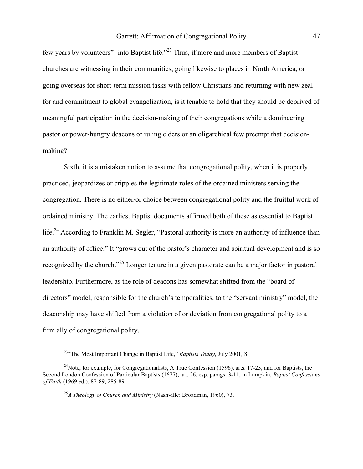few years by volunteers"] into Baptist life."[23 T](#page-9-0)hus, if more and more members of Baptist churches are witnessing in their communities, going likewise to places in North America, or going overseas for short-term mission tasks with fellow Christians and returning with new zeal for and commitment to global evangelization, is it tenable to hold that they should be deprived of meaningful participation in the decision-making of their congregations while a domineering pastor or power-hungry deacons or ruling elders or an oligarchical few preempt that decisionmaking?

Sixth, it is a mistaken notion to assume that congregational polity, when it is properly practiced, jeopardizes or cripples the legitimate roles of the ordained ministers serving the congregation. There is no either/or choice between congregational polity and the fruitful work of ordained ministry. The earliest Baptist documents affirmed both of these as essential to Baptist life.<sup>24</sup> According to Franklin M. Segler, "Pastoral authority is more an authority of influence than an authority of office." It "grows out of the pastor's character and spiritual development and is so recognized by the church."[25](#page-9-2) Longer tenure in a given pastorate can be a major factor in pastoral leadership. Furthermore, as the role of deacons has somewhat shifted from the "board of directors" model, responsible for the church's temporalities, to the "servant ministry" model, the deaconship may have shifted from a violation of or deviation from congregational polity to a firm ally of congregational polity.

<span id="page-9-1"></span><span id="page-9-0"></span><sup>&</sup>lt;sup>23</sup><sup>c</sup>The Most Important Change in Baptist Life," *Baptists Today*, July 2001, 8.

<sup>&</sup>lt;sup>24</sup>Note, for example, for Congregationalists, A True Confession (1596), arts. 17-23, and for Baptists, the Second London Confession of Particular Baptists (1677), art. 26, esp. parags. 3-11, in Lumpkin, *Baptist Confessions of Faith* (1969 ed.), 87-89, 285-89.

<span id="page-9-2"></span><sup>25</sup>*A Theology of Church and Ministry* (Nashville: Broadman, 1960), 73.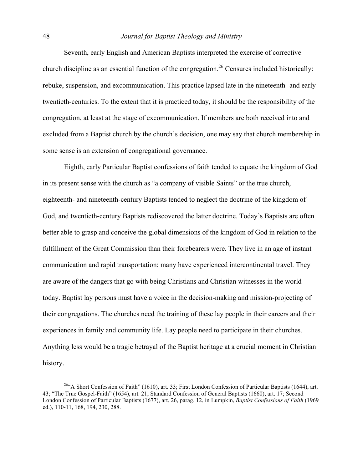Seventh, early English and American Baptists interpreted the exercise of corrective church discipline as an essential function of the congregation.<sup>26</sup> Censures included historically: rebuke, suspension, and excommunication. This practice lapsed late in the nineteenth- and early twentieth-centuries. To the extent that it is practiced today, it should be the responsibility of the congregation, at least at the stage of excommunication. If members are both received into and excluded from a Baptist church by the church's decision, one may say that church membership in some sense is an extension of congregational governance.

Eighth, early Particular Baptist confessions of faith tended to equate the kingdom of God in its present sense with the church as "a company of visible Saints" or the true church, eighteenth- and nineteenth-century Baptists tended to neglect the doctrine of the kingdom of God, and twentieth-century Baptists rediscovered the latter doctrine. Today's Baptists are often better able to grasp and conceive the global dimensions of the kingdom of God in relation to the fulfillment of the Great Commission than their forebearers were. They live in an age of instant communication and rapid transportation; many have experienced intercontinental travel. They are aware of the dangers that go with being Christians and Christian witnesses in the world today. Baptist lay persons must have a voice in the decision-making and mission-projecting of their congregations. The churches need the training of these lay people in their careers and their experiences in family and community life. Lay people need to participate in their churches. Anything less would be a tragic betrayal of the Baptist heritage at a crucial moment in Christian history.

<span id="page-10-0"></span> <sup>26&</sup>quot;A Short Confession of Faith" (1610), art. 33; First London Confession of Particular Baptists (1644), art. 43; "The True Gospel-Faith" (1654), art. 21; Standard Confession of General Baptists (1660), art. 17; Second London Confession of Particular Baptists (1677), art. 26, parag. 12, in Lumpkin, *Baptist Confessions of Faith* (1969 ed.), 110-11, 168, 194, 230, 288.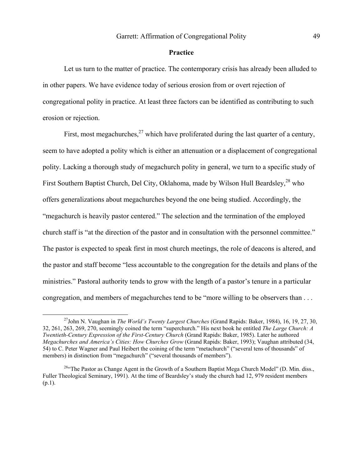#### **Practice**

Let us turn to the matter of practice. The contemporary crisis has already been alluded to in other papers. We have evidence today of serious erosion from or overt rejection of congregational polity in practice. At least three factors can be identified as contributing to such erosion or rejection.

First, most megachurches,  $27$  which have proliferated during the last quarter of a century, seem to have adopted a polity which is either an attenuation or a displacement of congregational polity. Lacking a thorough study of megachurch polity in general, we turn to a specific study of First Southern Baptist Church, Del City, Oklahoma, made by Wilson Hull Beardsley,<sup>28</sup> who offers generalizations about megachurches beyond the one being studied. Accordingly, the "megachurch is heavily pastor centered." The selection and the termination of the employed church staff is "at the direction of the pastor and in consultation with the personnel committee." The pastor is expected to speak first in most church meetings, the role of deacons is altered, and the pastor and staff become "less accountable to the congregation for the details and plans of the ministries." Pastoral authority tends to grow with the length of a pastor's tenure in a particular congregation, and members of megachurches tend to be "more willing to be observers than . . .

<span id="page-11-0"></span> <sup>27</sup>John N. Vaughan in *The World's Twenty Largest Churches* (Grand Rapids: Baker, 1984), 16, 19, 27, 30, 32, 261, 263, 269, 270, seemingly coined the term "superchurch." His next book he entitled *The Large Church: A Twentieth-Century Expression of the First-Century Church* (Grand Rapids: Baker, 1985). Later he authored *Megachurches and America's Cities: How Churches Grow* (Grand Rapids: Baker, 1993); Vaughan attributed (34, 54) to C. Peter Wagner and Paul Heibert the coining of the term "metachurch" ("several tens of thousands" of members) in distinction from "megachurch" ("several thousands of members").

<span id="page-11-1"></span><sup>&</sup>lt;sup>28"</sup>The Pastor as Change Agent in the Growth of a Southern Baptist Mega Church Model" (D. Min. diss., Fuller Theological Seminary, 1991). At the time of Beardsley's study the church had 12, 979 resident members  $(p.1)$ .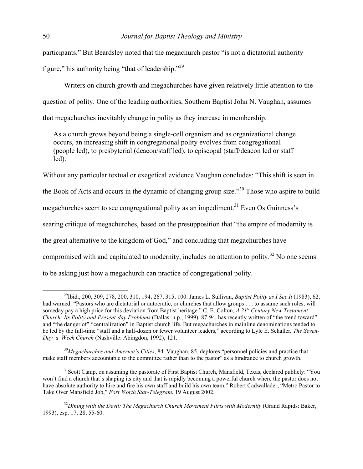participants." But Beardsley noted that the megachurch pastor "is not a dictatorial authority figure," his authority being "that of leadership."<sup>29</sup>

 Writers on church growth and megachurches have given relatively little attention to the question of polity. One of the leading authorities, Southern Baptist John N. Vaughan, assumes that megachurches inevitably change in polity as they increase in membership.

As a church grows beyond being a single-cell organism and as organizational change occurs, an increasing shift in congregational polity evolves from congregational (people led), to presbyterial (deacon/staff led), to episcopal (staff/deacon led or staff led).

Without any particular textual or exegetical evidence Vaughan concludes: "This shift is seen in

the Book of Acts and occurs in the dynamic of changing group size."<sup>30</sup> Those who aspire to build

megachurches seem to see congregational polity as an impediment.<sup>31</sup> Even Os Guinness's

searing critique of megachurches, based on the presupposition that "the empire of modernity is

the great alternative to the kingdom of God," and concluding that megachurches have

compromised with and capitulated to modernity, includes no attention to polity.<sup>32</sup> No one seems

to be asking just how a megachurch can practice of congregational polity.

<span id="page-12-0"></span> <sup>29</sup>Ibid., 200, 309, 278, 200, 310, 194, 267, 315, 100. James L. Sullivan, *Baptist Polity as I See It* (1983), 62, had warned: "Pastors who are dictatorial or autocratic, or churches that allow groups . . . to assume such roles, will someday pay a high price for this deviation from Baptist heritage." C. E. Colton, *A 21st Century New Testament Church: Its Polity and Present-day Problems* (Dallas: n.p., 1999), 87-94, has recently written of "the trend toward" and "the danger of" "centralization" in Baptist church life. But megachurches in mainline denominations tended to be led by the full-time "staff and a half-dozen or fewer volunteer leaders," according to Lyle E. Schaller*, The Seven-Day–a–Week Church* (Nashville: Abingdon, 1992), 121.

<span id="page-12-1"></span><sup>30</sup>*Megachurches and America's Cities*, 84. Vaughan, 85, deplores "personnel policies and practice that make staff members accountable to the committee rather than to the pastor" as a hindrance to church growth.

<span id="page-12-2"></span><sup>&</sup>lt;sup>31</sup>Scott Camp, on assuming the pastorate of First Baptist Church, Mansfield, Texas, declared publicly: "You won't find a church that's shaping its city and that is rapidly becoming a powerful church where the pastor does not have absolute authority to hire and fire his own staff and build his own team." Robert Cadwallader, "Metro Pastor to Take Over Mansfield Job," *Fort Worth Star-Telegram*, 19 August 2002.

<span id="page-12-3"></span><sup>&</sup>lt;sup>32</sup>Dining with the Devil: The Megachurch Church Movement Flirts with Modernity (Grand Rapids: Baker, 1993), esp. 17, 28, 55-60.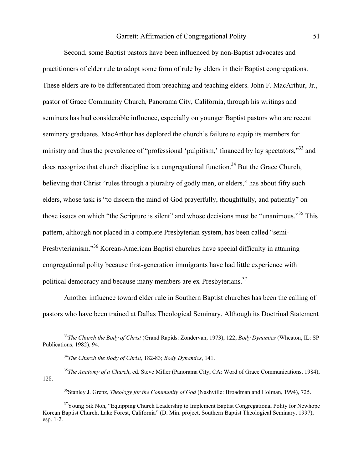# Garrett: Affirmation of Congregational Polity 51

Second, some Baptist pastors have been influenced by non-Baptist advocates and practitioners of elder rule to adopt some form of rule by elders in their Baptist congregations. These elders are to be differentiated from preaching and teaching elders. John F. MacArthur, Jr., pastor of Grace Community Church, Panorama City, California, through his writings and seminars has had considerable influence, especially on younger Baptist pastors who are recent seminary graduates. MacArthur has deplored the church's failure to equip its members for ministry and thus the prevalence of "professional 'pulpitism,' financed by lay spectators,"<sup>33</sup> and does recognize that church discipline is a congregational function.<sup>34</sup> But the Grace Church, believing that Christ "rules through a plurality of godly men, or elders," has about fifty such elders, whose task is "to discern the mind of God prayerfully, thoughtfully, and patiently" on those issues on which "the Scripture is silent" and whose decisions must be "unanimous."[35](#page-13-2) This pattern, although not placed in a complete Presbyterian system, has been called "semi-Presbyterianism."[36 K](#page-13-3)orean-American Baptist churches have special difficulty in attaining congregational polity because first-generation immigrants have had little experience with political democracy and because many members are ex-Presbyterians.<sup>[37](#page-13-4)</sup>

Another influence toward elder rule in Southern Baptist churches has been the calling of pastors who have been trained at Dallas Theological Seminary. Although its Doctrinal Statement

<span id="page-13-4"></span><span id="page-13-3"></span>36Stanley J. Grenz, *Theology for the Community of God* (Nashville: Broadman and Holman, 1994), 725.

 <sup>33</sup>*The Church the Body of Christ* (Grand Rapids: Zondervan, 1973), 122; *Body Dynamics* (Wheaton, IL: SP Publications, 1982), 94.

<span id="page-13-2"></span><span id="page-13-1"></span><span id="page-13-0"></span><sup>34</sup>*The Church the Body of Christ*, 182-83; *Body Dynamics*, 141.

<sup>&</sup>lt;sup>35</sup>The Anatomy of a Church, ed. Steve Miller (Panorama City, CA: Word of Grace Communications, 1984), 128.

<sup>&</sup>lt;sup>37</sup>Young Sik Noh, "Equipping Church Leadership to Implement Baptist Congregational Polity for Newhope Korean Baptist Church, Lake Forest, California" (D. Min. project, Southern Baptist Theological Seminary, 1997), esp. 1-2.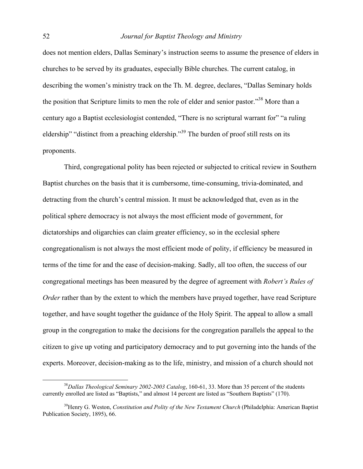does not mention elders, Dallas Seminary's instruction seems to assume the presence of elders in churches to be served by its graduates, especially Bible churches. The current catalog, in describing the women's ministry track on the Th. M. degree, declares, "Dallas Seminary holds the position that Scripture limits to men the role of elder and senior pastor.<sup>38</sup> More than a century ago a Baptist ecclesiologist contended, "There is no scriptural warrant for" "a ruling eldership" "distinct from a preaching eldership."<sup>39</sup> The burden of proof still rests on its proponents.

Third, congregational polity has been rejected or subjected to critical review in Southern Baptist churches on the basis that it is cumbersome, time-consuming, trivia-dominated, and detracting from the church's central mission. It must be acknowledged that, even as in the political sphere democracy is not always the most efficient mode of government, for dictatorships and oligarchies can claim greater efficiency, so in the ecclesial sphere congregationalism is not always the most efficient mode of polity, if efficiency be measured in terms of the time for and the ease of decision-making. Sadly, all too often, the success of our congregational meetings has been measured by the degree of agreement with *Robert's Rules of Order* rather than by the extent to which the members have prayed together, have read Scripture together, and have sought together the guidance of the Holy Spirit. The appeal to allow a small group in the congregation to make the decisions for the congregation parallels the appeal to the citizen to give up voting and participatory democracy and to put governing into the hands of the experts. Moreover, decision-making as to the life, ministry, and mission of a church should not

<span id="page-14-0"></span> <sup>38</sup>*Dallas Theological Seminary 2002-2003 Catalog*, 160-61, 33. More than 35 percent of the students currently enrolled are listed as "Baptists," and almost 14 percent are listed as "Southern Baptists" (170).

<span id="page-14-1"></span><sup>39</sup>Henry G. Weston, *Constitution and Polity of the New Testament Church* (Philadelphia: American Baptist Publication Society, 1895), 66.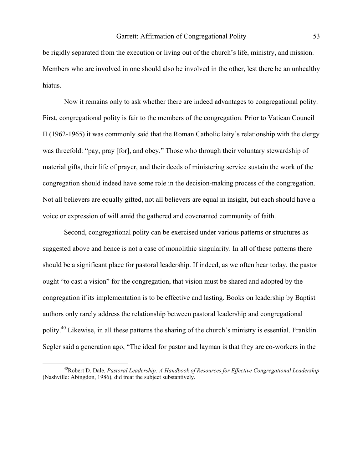be rigidly separated from the execution or living out of the church's life, ministry, and mission. Members who are involved in one should also be involved in the other, lest there be an unhealthy hiatus.

Now it remains only to ask whether there are indeed advantages to congregational polity. First, congregational polity is fair to the members of the congregation. Prior to Vatican Council II (1962-1965) it was commonly said that the Roman Catholic laity's relationship with the clergy was threefold: "pay, pray [for], and obey." Those who through their voluntary stewardship of material gifts, their life of prayer, and their deeds of ministering service sustain the work of the congregation should indeed have some role in the decision-making process of the congregation. Not all believers are equally gifted, not all believers are equal in insight, but each should have a voice or expression of will amid the gathered and covenanted community of faith.

Second, congregational polity can be exercised under various patterns or structures as suggested above and hence is not a case of monolithic singularity. In all of these patterns there should be a significant place for pastoral leadership. If indeed, as we often hear today, the pastor ought "to cast a vision" for the congregation, that vision must be shared and adopted by the congregation if its implementation is to be effective and lasting. Books on leadership by Baptist authors only rarely address the relationship between pastoral leadership and congregational polity[.40](#page-15-0) Likewise, in all these patterns the sharing of the church's ministry is essential. Franklin Segler said a generation ago, "The ideal for pastor and layman is that they are co-workers in the

<span id="page-15-0"></span> <sup>40</sup>Robert D. Dale, *Pastoral Leadership: A Handbook of Resources for Effective Congregational Leadership* (Nashville: Abingdon, 1986), did treat the subject substantively.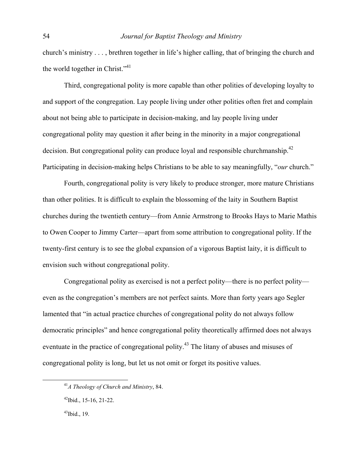church's ministry . . . , brethren together in life's higher calling, that of bringing the church and the world together in Christ."<sup>[41](#page-16-0)</sup>

Third, congregational polity is more capable than other polities of developing loyalty to and support of the congregation. Lay people living under other polities often fret and complain about not being able to participate in decision-making, and lay people living under congregational polity may question it after being in the minority in a major congregational decision. But congregational polity can produce loyal and responsible churchmanship.<sup>[42](#page-16-1)</sup> Participating in decision-making helps Christians to be able to say meaningfully, "*our* church."

Fourth, congregational polity is very likely to produce stronger, more mature Christians than other polities. It is difficult to explain the blossoming of the laity in Southern Baptist churches during the twentieth century—from Annie Armstrong to Brooks Hays to Marie Mathis to Owen Cooper to Jimmy Carter—apart from some attribution to congregational polity. If the twenty-first century is to see the global expansion of a vigorous Baptist laity, it is difficult to envision such without congregational polity.

 Congregational polity as exercised is not a perfect polity—there is no perfect polity even as the congregation's members are not perfect saints. More than forty years ago Segler lamented that "in actual practice churches of congregational polity do not always follow democratic principles" and hence congregational polity theoretically affirmed does not always eventuate in the practice of congregational polity.<sup>43</sup> The litany of abuses and misuses of congregational polity is long, but let us not omit or forget its positive values.

<span id="page-16-2"></span> $43$ Ibid., 19.

<span id="page-16-0"></span> <sup>41</sup>*A Theology of Church and Ministry*, 84.

<span id="page-16-1"></span> $42$ Ibid., 15-16, 21-22.